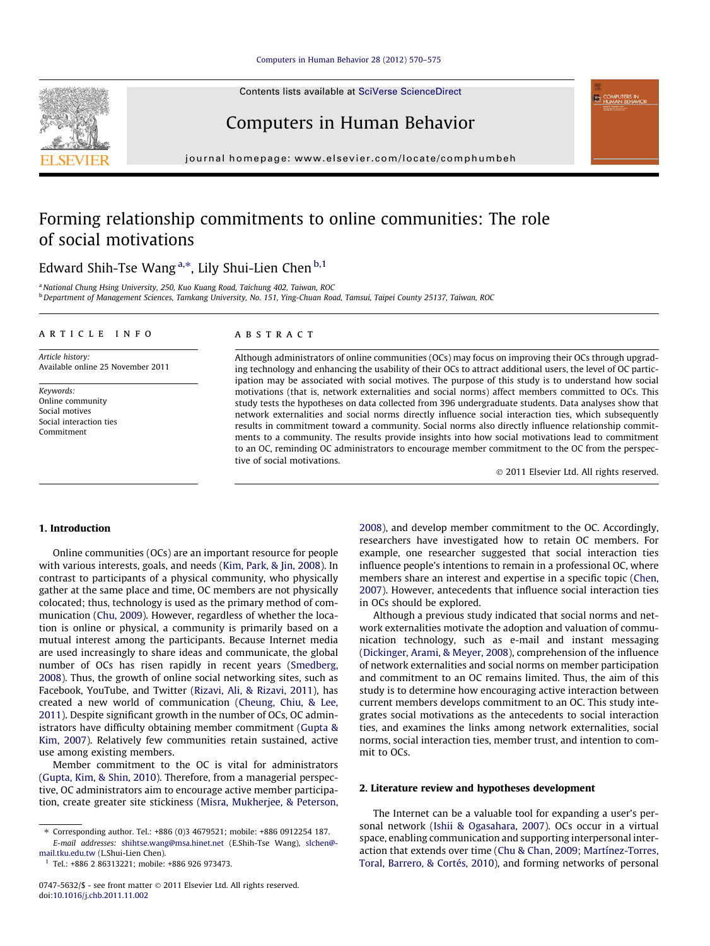Contents lists available at [SciVerse ScienceDirect](http://www.sciencedirect.com/science/journal/07475632)



Computers in Human Behavior

journal homepage: [www.elsevier.com/locate/comphumbeh](http://www.elsevier.com/locate/comphumbeh)

# Forming relationship commitments to online communities: The role of social motivations

Edward Shih-Tse Wang<sup>a,</sup>\*, Lily Shui-Lien Chen<sup>b,1</sup>

<sup>a</sup> National Chung Hsing University, 250, Kuo Kuang Road, Taichung 402, Taiwan, ROC <sup>b</sup> Department of Management Sciences, Tamkang University, No. 151, Ying-Chuan Road, Tamsui, Taipei County 25137, Taiwan, ROC

## article info

Article history: Available online 25 November 2011

Keywords: Online community Social motives Social interaction ties Commitment

## ABSTRACT

Although administrators of online communities (OCs) may focus on improving their OCs through upgrading technology and enhancing the usability of their OCs to attract additional users, the level of OC participation may be associated with social motives. The purpose of this study is to understand how social motivations (that is, network externalities and social norms) affect members committed to OCs. This study tests the hypotheses on data collected from 396 undergraduate students. Data analyses show that network externalities and social norms directly influence social interaction ties, which subsequently results in commitment toward a community. Social norms also directly influence relationship commitments to a community. The results provide insights into how social motivations lead to commitment to an OC, reminding OC administrators to encourage member commitment to the OC from the perspective of social motivations.

- 2011 Elsevier Ltd. All rights reserved.

# 1. Introduction

Online communities (OCs) are an important resource for people with various interests, goals, and needs [\(Kim, Park, & Jin, 2008\)](#page-5-0). In contrast to participants of a physical community, who physically gather at the same place and time, OC members are not physically colocated; thus, technology is used as the primary method of communication [\(Chu, 2009\)](#page-4-0). However, regardless of whether the location is online or physical, a community is primarily based on a mutual interest among the participants. Because Internet media are used increasingly to share ideas and communicate, the global number of OCs has risen rapidly in recent years [\(Smedberg,](#page-5-0) [2008\)](#page-5-0). Thus, the growth of online social networking sites, such as Facebook, YouTube, and Twitter [\(Rizavi, Ali, & Rizavi, 2011\)](#page-5-0), has created a new world of communication [\(Cheung, Chiu, & Lee,](#page-4-0) [2011\)](#page-4-0). Despite significant growth in the number of OCs, OC administrators have difficulty obtaining member commitment [\(Gupta &](#page-4-0) [Kim, 2007\)](#page-4-0). Relatively few communities retain sustained, active use among existing members.

Member commitment to the OC is vital for administrators ([Gupta, Kim, & Shin, 2010\)](#page-5-0). Therefore, from a managerial perspective, OC administrators aim to encourage active member participation, create greater site stickiness [\(Misra, Mukherjee, & Peterson,](#page-5-0)

<sup>1</sup> Tel.: +886 2 86313221; mobile: +886 926 973473.

[2008\)](#page-5-0), and develop member commitment to the OC. Accordingly, researchers have investigated how to retain OC members. For example, one researcher suggested that social interaction ties influence people's intentions to remain in a professional OC, where members share an interest and expertise in a specific topic ([Chen,](#page-4-0) [2007\)](#page-4-0). However, antecedents that influence social interaction ties in OCs should be explored.

Although a previous study indicated that social norms and network externalities motivate the adoption and valuation of communication technology, such as e-mail and instant messaging ([Dickinger, Arami, & Meyer, 2008\)](#page-4-0), comprehension of the influence of network externalities and social norms on member participation and commitment to an OC remains limited. Thus, the aim of this study is to determine how encouraging active interaction between current members develops commitment to an OC. This study integrates social motivations as the antecedents to social interaction ties, and examines the links among network externalities, social norms, social interaction ties, member trust, and intention to commit to OCs.

## 2. Literature review and hypotheses development

The Internet can be a valuable tool for expanding a user's personal network ([Ishii & Ogasahara, 2007](#page-5-0)). OCs occur in a virtual space, enabling communication and supporting interpersonal interaction that extends over time ([Chu & Chan, 2009; Martínez-Torres,](#page-4-0) [Toral, Barrero, & Cortés, 2010](#page-4-0)), and forming networks of personal

<sup>⇑</sup> Corresponding author. Tel.: +886 (0)3 4679521; mobile: +886 0912254 187. E-mail addresses: [shihtse.wang@msa.hinet.net](mailto:shihtse.wang@msa.hinet.net) (E.Shih-Tse Wang), [slchen@](mailto:slchen@mail.tku.edu.tw) [mail.tku.edu.tw](mailto:slchen@mail.tku.edu.tw) (L.Shui-Lien Chen).

<sup>0747-5632/\$ -</sup> see front matter © 2011 Elsevier Ltd. All rights reserved. doi:[10.1016/j.chb.2011.11.002](http://dx.doi.org/10.1016/j.chb.2011.11.002)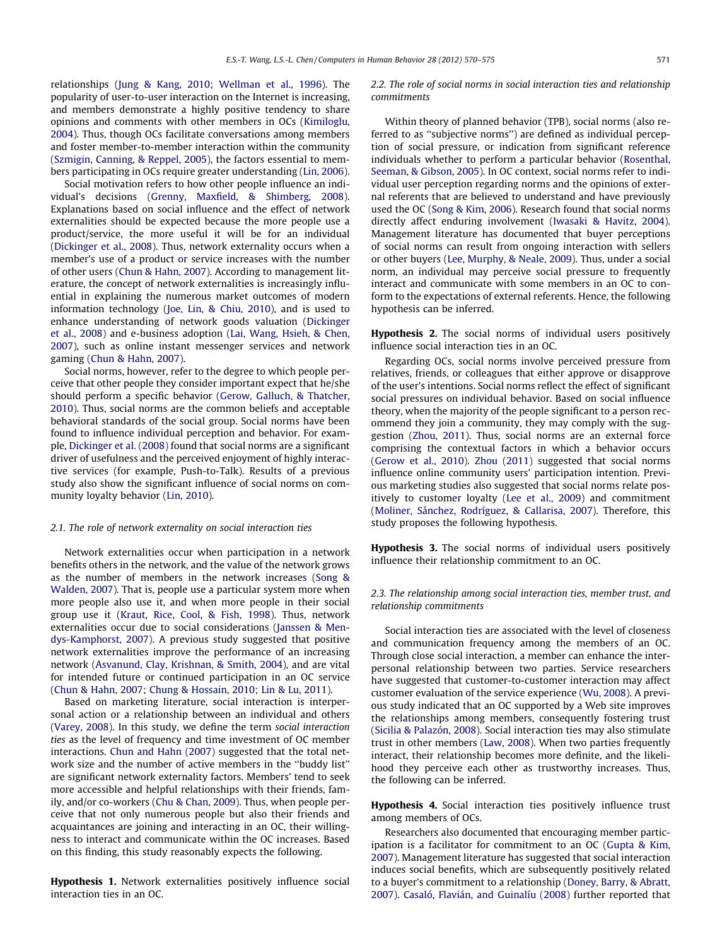relationships [\(Jung & Kang, 2010; Wellman et al., 1996\)](#page-5-0). The popularity of user-to-user interaction on the Internet is increasing, and members demonstrate a highly positive tendency to share opinions and comments with other members in OCs [\(Kimiloglu,](#page-5-0) [2004](#page-5-0)). Thus, though OCs facilitate conversations among members and foster member-to-member interaction within the community ([Szmigin, Canning, & Reppel, 2005\)](#page-5-0), the factors essential to members participating in OCs require greater understanding [\(Lin, 2006\)](#page-5-0).

Social motivation refers to how other people influence an individual's decisions ([Grenny, Maxfield, & Shimberg, 2008\)](#page-4-0). Explanations based on social influence and the effect of network externalities should be expected because the more people use a product/service, the more useful it will be for an individual ([Dickinger et al., 2008\)](#page-4-0). Thus, network externality occurs when a member's use of a product or service increases with the number of other users ([Chun & Hahn, 2007](#page-4-0)). According to management literature, the concept of network externalities is increasingly influential in explaining the numerous market outcomes of modern information technology [\(Joe, Lin, & Chiu, 2010\)](#page-5-0), and is used to enhance understanding of network goods valuation [\(Dickinger](#page-4-0) [et al., 2008](#page-4-0)) and e-business adoption [\(Lai, Wang, Hsieh, & Chen,](#page-5-0) [2007](#page-5-0)), such as online instant messenger services and network gaming [\(Chun & Hahn, 2007\)](#page-4-0).

Social norms, however, refer to the degree to which people perceive that other people they consider important expect that he/she should perform a specific behavior ([Gerow, Galluch, & Thatcher,](#page-4-0) [2010](#page-4-0)). Thus, social norms are the common beliefs and acceptable behavioral standards of the social group. Social norms have been found to influence individual perception and behavior. For example, [Dickinger et al. \(2008\)](#page-4-0) found that social norms are a significant driver of usefulness and the perceived enjoyment of highly interactive services (for example, Push-to-Talk). Results of a previous study also show the significant influence of social norms on community loyalty behavior ([Lin, 2010\)](#page-5-0).

## 2.1. The role of network externality on social interaction ties

Network externalities occur when participation in a network benefits others in the network, and the value of the network grows as the number of members in the network increases [\(Song &](#page-5-0) [Walden, 2007](#page-5-0)). That is, people use a particular system more when more people also use it, and when more people in their social group use it [\(Kraut, Rice, Cool, & Fish, 1998\)](#page-5-0). Thus, network externalities occur due to social considerations [\(Janssen & Men](#page-5-0)[dys-Kamphorst, 2007\)](#page-5-0). A previous study suggested that positive network externalities improve the performance of an increasing network [\(Asvanund, Clay, Krishnan, & Smith, 2004](#page-4-0)), and are vital for intended future or continued participation in an OC service ([Chun & Hahn, 2007; Chung & Hossain, 2010; Lin & Lu, 2011](#page-4-0)).

Based on marketing literature, social interaction is interpersonal action or a relationship between an individual and others ([Varey, 2008](#page-5-0)). In this study, we define the term social interaction ties as the level of frequency and time investment of OC member interactions. [Chun and Hahn \(2007\)](#page-4-0) suggested that the total network size and the number of active members in the ''buddy list'' are significant network externality factors. Members' tend to seek more accessible and helpful relationships with their friends, family, and/or co-workers ([Chu & Chan, 2009\)](#page-4-0). Thus, when people perceive that not only numerous people but also their friends and acquaintances are joining and interacting in an OC, their willingness to interact and communicate within the OC increases. Based on this finding, this study reasonably expects the following.

**Hypothesis 1.** Network externalities positively influence social interaction ties in an OC.

## 2.2. The role of social norms in social interaction ties and relationship commitments

Within theory of planned behavior (TPB), social norms (also referred to as ''subjective norms'') are defined as individual perception of social pressure, or indication from significant reference individuals whether to perform a particular behavior ([Rosenthal,](#page-5-0) [Seeman, & Gibson, 2005](#page-5-0)). In OC context, social norms refer to individual user perception regarding norms and the opinions of external referents that are believed to understand and have previously used the OC [\(Song & Kim, 2006](#page-5-0)). Research found that social norms directly affect enduring involvement [\(Iwasaki & Havitz, 2004\)](#page-5-0). Management literature has documented that buyer perceptions of social norms can result from ongoing interaction with sellers or other buyers ([Lee, Murphy, & Neale, 2009\)](#page-5-0). Thus, under a social norm, an individual may perceive social pressure to frequently interact and communicate with some members in an OC to conform to the expectations of external referents. Hence, the following hypothesis can be inferred.

Hypothesis 2. The social norms of individual users positively influence social interaction ties in an OC.

Regarding OCs, social norms involve perceived pressure from relatives, friends, or colleagues that either approve or disapprove of the user's intentions. Social norms reflect the effect of significant social pressures on individual behavior. Based on social influence theory, when the majority of the people significant to a person recommend they join a community, they may comply with the suggestion [\(Zhou, 2011\)](#page-5-0). Thus, social norms are an external force comprising the contextual factors in which a behavior occurs ([Gerow et al., 2010](#page-4-0)). [Zhou \(2011\)](#page-5-0) suggested that social norms influence online community users' participation intention. Previous marketing studies also suggested that social norms relate positively to customer loyalty ([Lee et al., 2009\)](#page-5-0) and commitment ([Moliner, Sánchez, Rodríguez, & Callarisa, 2007](#page-5-0)). Therefore, this study proposes the following hypothesis.

Hypothesis 3. The social norms of individual users positively influence their relationship commitment to an OC.

# 2.3. The relationship among social interaction ties, member trust, and relationship commitments

Social interaction ties are associated with the level of closeness and communication frequency among the members of an OC. Through close social interaction, a member can enhance the interpersonal relationship between two parties. Service researchers have suggested that customer-to-customer interaction may affect customer evaluation of the service experience [\(Wu, 2008](#page-5-0)). A previous study indicated that an OC supported by a Web site improves the relationships among members, consequently fostering trust ([Sicilia & Palazón, 2008\)](#page-5-0). Social interaction ties may also stimulate trust in other members [\(Law, 2008\)](#page-5-0). When two parties frequently interact, their relationship becomes more definite, and the likelihood they perceive each other as trustworthy increases. Thus, the following can be inferred.

Hypothesis 4. Social interaction ties positively influence trust among members of OCs.

Researchers also documented that encouraging member participation is a facilitator for commitment to an OC [\(Gupta & Kim,](#page-4-0) [2007](#page-4-0)). Management literature has suggested that social interaction induces social benefits, which are subsequently positively related to a buyer's commitment to a relationship [\(Doney, Barry, & Abratt,](#page-4-0) [2007](#page-4-0)). [Casaló, Flavián, and Guinalíu \(2008\)](#page-4-0) further reported that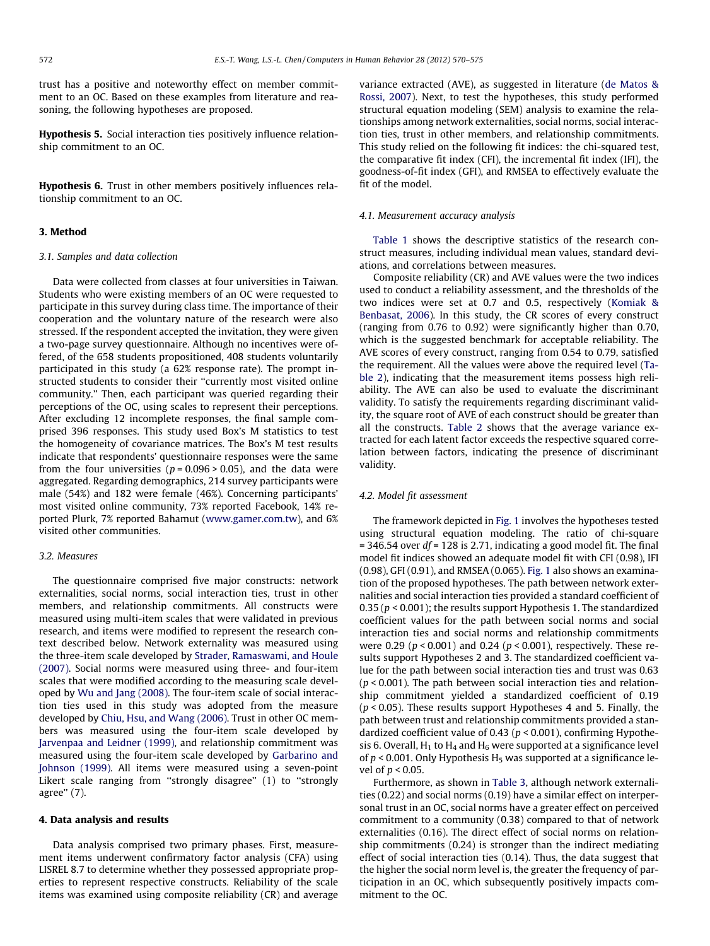trust has a positive and noteworthy effect on member commitment to an OC. Based on these examples from literature and reasoning, the following hypotheses are proposed.

Hypothesis 5. Social interaction ties positively influence relationship commitment to an OC.

Hypothesis 6. Trust in other members positively influences relationship commitment to an OC.

## 3. Method

#### 3.1. Samples and data collection

Data were collected from classes at four universities in Taiwan. Students who were existing members of an OC were requested to participate in this survey during class time. The importance of their cooperation and the voluntary nature of the research were also stressed. If the respondent accepted the invitation, they were given a two-page survey questionnaire. Although no incentives were offered, of the 658 students propositioned, 408 students voluntarily participated in this study (a 62% response rate). The prompt instructed students to consider their ''currently most visited online community.'' Then, each participant was queried regarding their perceptions of the OC, using scales to represent their perceptions. After excluding 12 incomplete responses, the final sample comprised 396 responses. This study used Box's M statistics to test the homogeneity of covariance matrices. The Box's M test results indicate that respondents' questionnaire responses were the same from the four universities ( $p = 0.096 > 0.05$ ), and the data were aggregated. Regarding demographics, 214 survey participants were male (54%) and 182 were female (46%). Concerning participants' most visited online community, 73% reported Facebook, 14% reported Plurk, 7% reported Bahamut ([www.gamer.com.tw](http://www.gamer.com.tw)), and 6% visited other communities.

## 3.2. Measures

The questionnaire comprised five major constructs: network externalities, social norms, social interaction ties, trust in other members, and relationship commitments. All constructs were measured using multi-item scales that were validated in previous research, and items were modified to represent the research context described below. Network externality was measured using the three-item scale developed by [Strader, Ramaswami, and Houle](#page-5-0) [\(2007\).](#page-5-0) Social norms were measured using three- and four-item scales that were modified according to the measuring scale developed by [Wu and Jang \(2008\).](#page-5-0) The four-item scale of social interaction ties used in this study was adopted from the measure developed by [Chiu, Hsu, and Wang \(2006\)](#page-4-0). Trust in other OC members was measured using the four-item scale developed by [Jarvenpaa and Leidner \(1999\)](#page-5-0), and relationship commitment was measured using the four-item scale developed by [Garbarino and](#page-4-0) [Johnson \(1999\).](#page-4-0) All items were measured using a seven-point Likert scale ranging from ''strongly disagree'' (1) to ''strongly agree'' (7).

#### 4. Data analysis and results

Data analysis comprised two primary phases. First, measurement items underwent confirmatory factor analysis (CFA) using LISREL 8.7 to determine whether they possessed appropriate properties to represent respective constructs. Reliability of the scale items was examined using composite reliability (CR) and average variance extracted (AVE), as suggested in literature ([de Matos &](#page-4-0) [Rossi, 2007](#page-4-0)). Next, to test the hypotheses, this study performed structural equation modeling (SEM) analysis to examine the relationships among network externalities, social norms, social interaction ties, trust in other members, and relationship commitments. This study relied on the following fit indices: the chi-squared test, the comparative fit index (CFI), the incremental fit index (IFI), the goodness-of-fit index (GFI), and RMSEA to effectively evaluate the fit of the model.

## 4.1. Measurement accuracy analysis

[Table 1](#page-3-0) shows the descriptive statistics of the research construct measures, including individual mean values, standard deviations, and correlations between measures.

Composite reliability (CR) and AVE values were the two indices used to conduct a reliability assessment, and the thresholds of the two indices were set at 0.7 and 0.5, respectively [\(Komiak &](#page-5-0) [Benbasat, 2006](#page-5-0)). In this study, the CR scores of every construct (ranging from 0.76 to 0.92) were significantly higher than 0.70, which is the suggested benchmark for acceptable reliability. The AVE scores of every construct, ranging from 0.54 to 0.79, satisfied the requirement. All the values were above the required level ([Ta](#page-3-0)[ble 2](#page-3-0)), indicating that the measurement items possess high reliability. The AVE can also be used to evaluate the discriminant validity. To satisfy the requirements regarding discriminant validity, the square root of AVE of each construct should be greater than all the constructs. [Table 2](#page-3-0) shows that the average variance extracted for each latent factor exceeds the respective squared correlation between factors, indicating the presence of discriminant validity.

## 4.2. Model fit assessment

The framework depicted in [Fig. 1](#page-3-0) involves the hypotheses tested using structural equation modeling. The ratio of chi-square  $=$  346.54 over df = 128 is 2.71, indicating a good model fit. The final model fit indices showed an adequate model fit with CFI (0.98), IFI (0.98), GFI (0.91), and RMSEA (0.065). [Fig. 1](#page-3-0) also shows an examination of the proposed hypotheses. The path between network externalities and social interaction ties provided a standard coefficient of 0.35 ( $p < 0.001$ ); the results support Hypothesis 1. The standardized coefficient values for the path between social norms and social interaction ties and social norms and relationship commitments were 0.29 ( $p < 0.001$ ) and 0.24 ( $p < 0.001$ ), respectively. These results support Hypotheses 2 and 3. The standardized coefficient value for the path between social interaction ties and trust was 0.63  $(p < 0.001)$ . The path between social interaction ties and relationship commitment yielded a standardized coefficient of 0.19  $(p < 0.05)$ . These results support Hypotheses 4 and 5. Finally, the path between trust and relationship commitments provided a standardized coefficient value of 0.43 ( $p < 0.001$ ), confirming Hypothesis 6. Overall,  $H_1$  to  $H_4$  and  $H_6$  were supported at a significance level of  $p < 0.001$ . Only Hypothesis H<sub>5</sub> was supported at a significance level of  $p < 0.05$ .

Furthermore, as shown in [Table 3](#page-3-0), although network externalities (0.22) and social norms (0.19) have a similar effect on interpersonal trust in an OC, social norms have a greater effect on perceived commitment to a community (0.38) compared to that of network externalities (0.16). The direct effect of social norms on relationship commitments (0.24) is stronger than the indirect mediating effect of social interaction ties (0.14). Thus, the data suggest that the higher the social norm level is, the greater the frequency of participation in an OC, which subsequently positively impacts commitment to the OC.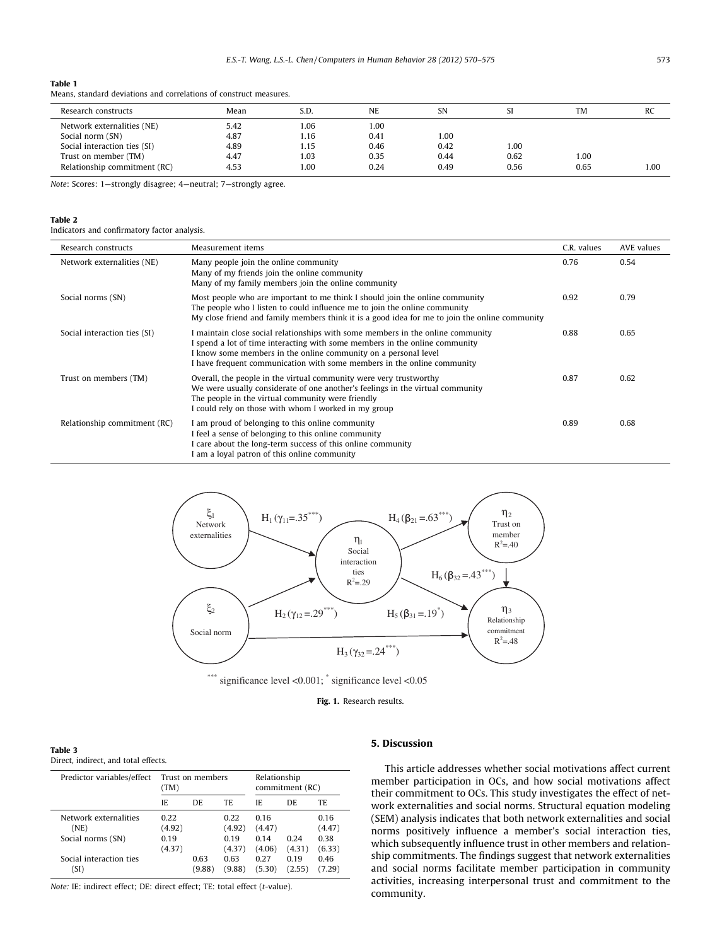# <span id="page-3-0"></span>Table 1

| Means, standard deviations and correlations of construct measures. |  |  |
|--------------------------------------------------------------------|--|--|
|--------------------------------------------------------------------|--|--|

| Research constructs          | Mean | S.D. | <b>NE</b> | SN   |      | <b>TM</b> | <b>RC</b> |
|------------------------------|------|------|-----------|------|------|-----------|-----------|
| Network externalities (NE)   | 5.42 | 1.06 | 1.00      |      |      |           |           |
| Social norm (SN)             | 4.87 | 1.16 | 0.41      | 1.00 |      |           |           |
| Social interaction ties (SI) | 4.89 | 1.15 | 0.46      | 0.42 | 1.00 |           |           |
| Trust on member (TM)         | 4.47 | 1.03 | 0.35      | 0.44 | 0.62 | 1.00      |           |
| Relationship commitment (RC) | 4.53 | 1.00 | 0.24      | 0.49 | 0.56 | 0.65      | 1.00      |

Note: Scores: 1—strongly disagree; 4—neutral; 7—strongly agree.

# Table 2

Indicators and confirmatory factor analysis.

| Research constructs          | Measurement items                                                                                                                                                                                                                                                                                            | C.R. values | AVE values |
|------------------------------|--------------------------------------------------------------------------------------------------------------------------------------------------------------------------------------------------------------------------------------------------------------------------------------------------------------|-------------|------------|
| Network externalities (NE)   | Many people join the online community<br>Many of my friends join the online community<br>Many of my family members join the online community                                                                                                                                                                 | 0.76        | 0.54       |
| Social norms (SN)            | Most people who are important to me think I should join the online community<br>The people who I listen to could influence me to join the online community<br>My close friend and family members think it is a good idea for me to join the online community                                                 | 0.92        | 0.79       |
| Social interaction ties (SI) | I maintain close social relationships with some members in the online community<br>I spend a lot of time interacting with some members in the online community<br>I know some members in the online community on a personal level<br>I have frequent communication with some members in the online community | 0.88        | 0.65       |
| Trust on members (TM)        | Overall, the people in the virtual community were very trustworthy<br>We were usually considerate of one another's feelings in the virtual community<br>The people in the virtual community were friendly<br>I could rely on those with whom I worked in my group                                            | 0.87        | 0.62       |
| Relationship commitment (RC) | I am proud of belonging to this online community<br>I feel a sense of belonging to this online community<br>I care about the long-term success of this online community<br>I am a loyal patron of this online community                                                                                      | 0.89        | 0.68       |



\*\*\* significance level <0.001; \* significance level <0.05

Fig. 1. Research results.

# Table 3

Direct, indirect, and total effects.

| Predictor variables/effect                         | Trust on members<br>(TM)         |                | Relationship<br>commitment (RC)  |                                  |                |                                  |
|----------------------------------------------------|----------------------------------|----------------|----------------------------------|----------------------------------|----------------|----------------------------------|
|                                                    | IE.                              | DE.            | <b>TE</b>                        | IE.                              | DE.            | TE.                              |
| Network externalities<br>(NE)<br>Social norms (SN) | 0.22<br>(4.92)<br>0.19<br>(4.37) |                | 0.22<br>(4.92)<br>0.19<br>(4.37) | 0.16<br>(4.47)<br>0.14<br>(4.06) | 0.24<br>(4.31) | 0.16<br>(4.47)<br>0.38<br>(6.33) |
| Social interaction ties<br>(SI)                    |                                  | 0.63<br>(9.88) | 0.63<br>(9.88)                   | 0.27<br>(5.30)                   | 0.19<br>(2.55) | 0.46<br>(7.29)                   |

Note: IE: indirect effect; DE: direct effect; TE: total effect (t-value).

## 5. Discussion

This article addresses whether social motivations affect current member participation in OCs, and how social motivations affect their commitment to OCs. This study investigates the effect of network externalities and social norms. Structural equation modeling (SEM) analysis indicates that both network externalities and social norms positively influence a member's social interaction ties, which subsequently influence trust in other members and relationship commitments. The findings suggest that network externalities and social norms facilitate member participation in community activities, increasing interpersonal trust and commitment to the community.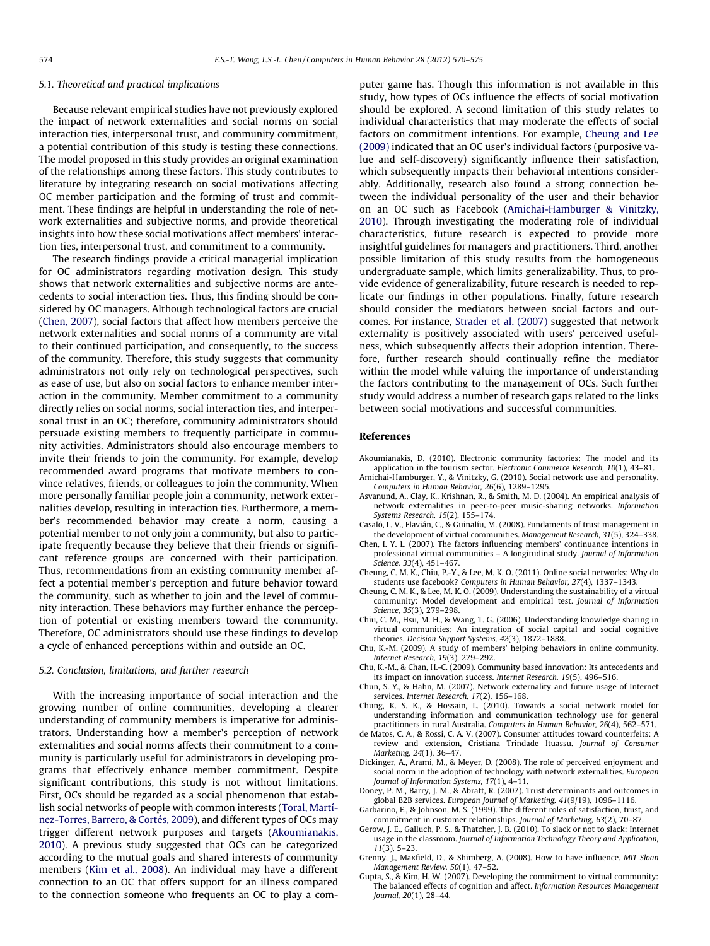#### <span id="page-4-0"></span>5.1. Theoretical and practical implications

Because relevant empirical studies have not previously explored the impact of network externalities and social norms on social interaction ties, interpersonal trust, and community commitment, a potential contribution of this study is testing these connections. The model proposed in this study provides an original examination of the relationships among these factors. This study contributes to literature by integrating research on social motivations affecting OC member participation and the forming of trust and commitment. These findings are helpful in understanding the role of network externalities and subjective norms, and provide theoretical insights into how these social motivations affect members' interaction ties, interpersonal trust, and commitment to a community.

The research findings provide a critical managerial implication for OC administrators regarding motivation design. This study shows that network externalities and subjective norms are antecedents to social interaction ties. Thus, this finding should be considered by OC managers. Although technological factors are crucial (Chen, 2007), social factors that affect how members perceive the network externalities and social norms of a community are vital to their continued participation, and consequently, to the success of the community. Therefore, this study suggests that community administrators not only rely on technological perspectives, such as ease of use, but also on social factors to enhance member interaction in the community. Member commitment to a community directly relies on social norms, social interaction ties, and interpersonal trust in an OC; therefore, community administrators should persuade existing members to frequently participate in community activities. Administrators should also encourage members to invite their friends to join the community. For example, develop recommended award programs that motivate members to convince relatives, friends, or colleagues to join the community. When more personally familiar people join a community, network externalities develop, resulting in interaction ties. Furthermore, a member's recommended behavior may create a norm, causing a potential member to not only join a community, but also to participate frequently because they believe that their friends or significant reference groups are concerned with their participation. Thus, recommendations from an existing community member affect a potential member's perception and future behavior toward the community, such as whether to join and the level of community interaction. These behaviors may further enhance the perception of potential or existing members toward the community. Therefore, OC administrators should use these findings to develop a cycle of enhanced perceptions within and outside an OC.

## 5.2. Conclusion, limitations, and further research

With the increasing importance of social interaction and the growing number of online communities, developing a clearer understanding of community members is imperative for administrators. Understanding how a member's perception of network externalities and social norms affects their commitment to a community is particularly useful for administrators in developing programs that effectively enhance member commitment. Despite significant contributions, this study is not without limitations. First, OCs should be regarded as a social phenomenon that establish social networks of people with common interests ([Toral, Martí](#page-5-0)[nez-Torres, Barrero, & Cortés, 2009\)](#page-5-0), and different types of OCs may trigger different network purposes and targets (Akoumianakis, 2010). A previous study suggested that OCs can be categorized according to the mutual goals and shared interests of community members ([Kim et al., 2008\)](#page-5-0). An individual may have a different connection to an OC that offers support for an illness compared to the connection someone who frequents an OC to play a computer game has. Though this information is not available in this study, how types of OCs influence the effects of social motivation should be explored. A second limitation of this study relates to individual characteristics that may moderate the effects of social factors on commitment intentions. For example, Cheung and Lee (2009) indicated that an OC user's individual factors (purposive value and self-discovery) significantly influence their satisfaction, which subsequently impacts their behavioral intentions considerably. Additionally, research also found a strong connection between the individual personality of the user and their behavior on an OC such as Facebook (Amichai-Hamburger & Vinitzky, 2010). Through investigating the moderating role of individual characteristics, future research is expected to provide more insightful guidelines for managers and practitioners. Third, another possible limitation of this study results from the homogeneous undergraduate sample, which limits generalizability. Thus, to provide evidence of generalizability, future research is needed to replicate our findings in other populations. Finally, future research should consider the mediators between social factors and outcomes. For instance, [Strader et al. \(2007\)](#page-5-0) suggested that network externality is positively associated with users' perceived usefulness, which subsequently affects their adoption intention. Therefore, further research should continually refine the mediator within the model while valuing the importance of understanding the factors contributing to the management of OCs. Such further study would address a number of research gaps related to the links between social motivations and successful communities.

# References

- Akoumianakis, D. (2010). Electronic community factories: The model and its application in the tourism sector. Electronic Commerce Research, 10(1), 43–81.
- Amichai-Hamburger, Y., & Vinitzky, G. (2010). Social network use and personality. Computers in Human Behavior, 26(6), 1289–1295.
- Asvanund, A., Clay, K., Krishnan, R., & Smith, M. D. (2004). An empirical analysis of network externalities in peer-to-peer music-sharing networks. Information Systems Research, 15(2), 155–174.
- Casaló, L. V., Flavián, C., & Guinalíu, M. (2008). Fundaments of trust management in the development of virtual communities. Management Research, 31(5), 324–338.
- Chen, I. Y. L. (2007). The factors influencing members' continuance intentions in professional virtual communities – A longitudinal study. Journal of Information Science, 33(4), 451–467.
- Cheung, C. M. K., Chiu, P.-Y., & Lee, M. K. O. (2011). Online social networks: Why do students use facebook? Computers in Human Behavior, 27(4), 1337–1343.
- Cheung, C. M. K., & Lee, M. K. O. (2009). Understanding the sustainability of a virtual community: Model development and empirical test. Journal of Information Science, 35(3), 279–298.
- Chiu, C. M., Hsu, M. H., & Wang, T. G. (2006). Understanding knowledge sharing in virtual communities: An integration of social capital and social cognitive theories. Decision Support Systems, 42(3), 1872–1888.
- Chu, K.-M. (2009). A study of members' helping behaviors in online community. Internet Research, 19(3), 279–292.
- Chu, K.-M., & Chan, H.-C. (2009). Community based innovation: Its antecedents and its impact on innovation success. Internet Research, 19(5), 496–516.
- Chun, S. Y., & Hahn, M. (2007). Network externality and future usage of Internet services. Internet Research, 17(2), 156–168.
- Chung, K. S. K., & Hossain, L. (2010). Towards a social network model for understanding information and communication technology use for general practitioners in rural Australia. Computers in Human Behavior, 26(4), 562–571.
- de Matos, C. A., & Rossi, C. A. V. (2007). Consumer attitudes toward counterfeits: A review and extension, Cristiana Trindade Ituassu. Journal of Consumer Marketing, 24(1), 36–47.
- Dickinger, A., Arami, M., & Meyer, D. (2008). The role of perceived enjoyment and social norm in the adoption of technology with network externalities. European Journal of Information Systems, 17(1), 4–11.
- Doney, P. M., Barry, J. M., & Abratt, R. (2007). Trust determinants and outcomes in global B2B services. European Journal of Marketing, 41(9/19), 1096–1116.
- Garbarino, E., & Johnson, M. S. (1999). The different roles of satisfaction, trust, and commitment in customer relationships. Journal of Marketing, 63(2), 70–87.
- Gerow, J. E., Galluch, P. S., & Thatcher, J. B. (2010). To slack or not to slack: Internet usage in the classroom. Journal of Information Technology Theory and Application, 11(3), 5–23.
- Grenny, J., Maxfield, D., & Shimberg, A. (2008). How to have influence. MIT Sloan Management Review, 50(1), 47–52.
- Gupta, S., & Kim, H. W. (2007). Developing the commitment to virtual community: The balanced effects of cognition and affect. Information Resources Management Journal, 20(1), 28–44.